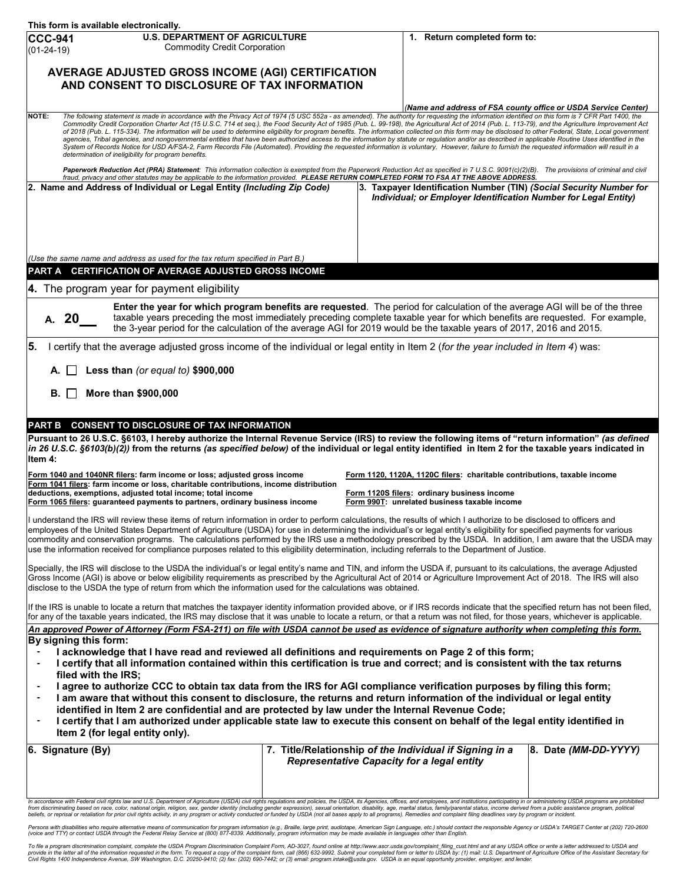| This form is available electronically.                                                                                                                                                                                                                                                                                                                                                                                                                                                                                                                                                                                                                                                                                                                                                                                                                                                                                                                                                                                                                                                                                                                                                                                                                                                                                                                                                                                                                |                                                                                                              |                                                                                                                                                                         |  |  |
|-------------------------------------------------------------------------------------------------------------------------------------------------------------------------------------------------------------------------------------------------------------------------------------------------------------------------------------------------------------------------------------------------------------------------------------------------------------------------------------------------------------------------------------------------------------------------------------------------------------------------------------------------------------------------------------------------------------------------------------------------------------------------------------------------------------------------------------------------------------------------------------------------------------------------------------------------------------------------------------------------------------------------------------------------------------------------------------------------------------------------------------------------------------------------------------------------------------------------------------------------------------------------------------------------------------------------------------------------------------------------------------------------------------------------------------------------------|--------------------------------------------------------------------------------------------------------------|-------------------------------------------------------------------------------------------------------------------------------------------------------------------------|--|--|
| <b>U.S. DEPARTMENT OF AGRICULTURE</b><br><b>CCC-941</b><br><b>Commodity Credit Corporation</b><br>$(01-24-19)$                                                                                                                                                                                                                                                                                                                                                                                                                                                                                                                                                                                                                                                                                                                                                                                                                                                                                                                                                                                                                                                                                                                                                                                                                                                                                                                                        |                                                                                                              | 1. Return completed form to:                                                                                                                                            |  |  |
| AVERAGE ADJUSTED GROSS INCOME (AGI) CERTIFICATION<br>AND CONSENT TO DISCLOSURE OF TAX INFORMATION                                                                                                                                                                                                                                                                                                                                                                                                                                                                                                                                                                                                                                                                                                                                                                                                                                                                                                                                                                                                                                                                                                                                                                                                                                                                                                                                                     |                                                                                                              |                                                                                                                                                                         |  |  |
|                                                                                                                                                                                                                                                                                                                                                                                                                                                                                                                                                                                                                                                                                                                                                                                                                                                                                                                                                                                                                                                                                                                                                                                                                                                                                                                                                                                                                                                       |                                                                                                              | (Name and address of FSA county office or USDA Service Center)                                                                                                          |  |  |
| NOTE:<br>The following statement is made in accordance with the Privacy Act of 1974 (5 USC 552a - as amended). The authority for requesting the information identified on this form is 7 CFR Part 1400, the<br>Commodity Credit Corporation Charter Act (15 U.S.C. 714 et seq.), the Food Security Act of 1985 (Pub. L. 99-198), the Agricultural Act of 2014 (Pub. L. 113-79), and the Agriculture Improvement Act<br>of 2018 (Pub. L. 115-334). The information will be used to determine eligibility for program benefits. The information collected on this form may be disclosed to other Federal, State, Local government<br>agencies, Tribal agencies, and nongovernmental entities that have been authorized access to the information by statute or regulation and/or as described in applicable Routine Uses identified in the<br>System of Records Notice for USD A/FSA-2, Farm Records File (Automated). Providing the requested information is voluntary. However, failure to furnish the requested information will result in a<br>determination of ineligibility for program benefits.<br>Paperwork Reduction Act (PRA) Statement: This information collection is exempted from the Paperwork Reduction Act as specified in 7 U.S.C. 9091(c)(2)(B). The provisions of criminal and civil<br>fraud, privacy and other statutes may be applicable to the information provided. PLEASE RETURN COMPLETED FORM TO FSA AT THE ABOVE ADDRESS. |                                                                                                              |                                                                                                                                                                         |  |  |
| 2. Name and Address of Individual or Legal Entity (Including Zip Code)<br>(Use the same name and address as used for the tax return specified in Part B.)                                                                                                                                                                                                                                                                                                                                                                                                                                                                                                                                                                                                                                                                                                                                                                                                                                                                                                                                                                                                                                                                                                                                                                                                                                                                                             |                                                                                                              | 3. Taxpayer Identification Number (TIN) (Social Security Number for<br>Individual; or Employer Identification Number for Legal Entity)                                  |  |  |
| PART A CERTIFICATION OF AVERAGE ADJUSTED GROSS INCOME                                                                                                                                                                                                                                                                                                                                                                                                                                                                                                                                                                                                                                                                                                                                                                                                                                                                                                                                                                                                                                                                                                                                                                                                                                                                                                                                                                                                 |                                                                                                              |                                                                                                                                                                         |  |  |
| 4. The program year for payment eligibility                                                                                                                                                                                                                                                                                                                                                                                                                                                                                                                                                                                                                                                                                                                                                                                                                                                                                                                                                                                                                                                                                                                                                                                                                                                                                                                                                                                                           |                                                                                                              |                                                                                                                                                                         |  |  |
| Enter the year for which program benefits are requested. The period for calculation of the average AGI will be of the three<br>A. 20<br>taxable years preceding the most immediately preceding complete taxable year for which benefits are requested. For example,<br>the 3-year period for the calculation of the average AGI for 2019 would be the taxable years of 2017, 2016 and 2015.                                                                                                                                                                                                                                                                                                                                                                                                                                                                                                                                                                                                                                                                                                                                                                                                                                                                                                                                                                                                                                                           |                                                                                                              |                                                                                                                                                                         |  |  |
| 5.<br>I certify that the average adjusted gross income of the individual or legal entity in Item 2 (for the year included in Item 4) was:                                                                                                                                                                                                                                                                                                                                                                                                                                                                                                                                                                                                                                                                                                                                                                                                                                                                                                                                                                                                                                                                                                                                                                                                                                                                                                             |                                                                                                              |                                                                                                                                                                         |  |  |
| Less than (or equal to) \$900,000<br>А.                                                                                                                                                                                                                                                                                                                                                                                                                                                                                                                                                                                                                                                                                                                                                                                                                                                                                                                                                                                                                                                                                                                                                                                                                                                                                                                                                                                                               |                                                                                                              |                                                                                                                                                                         |  |  |
| В.<br>More than \$900,000                                                                                                                                                                                                                                                                                                                                                                                                                                                                                                                                                                                                                                                                                                                                                                                                                                                                                                                                                                                                                                                                                                                                                                                                                                                                                                                                                                                                                             |                                                                                                              |                                                                                                                                                                         |  |  |
| PART B CONSENT TO DISCLOSURE OF TAX INFORMATION                                                                                                                                                                                                                                                                                                                                                                                                                                                                                                                                                                                                                                                                                                                                                                                                                                                                                                                                                                                                                                                                                                                                                                                                                                                                                                                                                                                                       |                                                                                                              |                                                                                                                                                                         |  |  |
| Pursuant to 26 U.S.C. §6103, I hereby authorize the Internal Revenue Service (IRS) to review the following items of "return information" (as defined<br>in 26 U.S.C. §6103(b)(2)) from the returns (as specified below) of the individual or legal entity identified in Item 2 for the taxable years indicated in<br>Item 4:                                                                                                                                                                                                                                                                                                                                                                                                                                                                                                                                                                                                                                                                                                                                                                                                                                                                                                                                                                                                                                                                                                                          |                                                                                                              |                                                                                                                                                                         |  |  |
| Form 1040 and 1040NR filers: farm income or loss; adjusted gross income<br>Form 1041 filers: farm income or loss, charitable contributions, income distribution<br>deductions, exemptions, adjusted total income; total income<br>Form 1065 filers: guaranteed payments to partners, ordinary business income                                                                                                                                                                                                                                                                                                                                                                                                                                                                                                                                                                                                                                                                                                                                                                                                                                                                                                                                                                                                                                                                                                                                         |                                                                                                              | Form 1120, 1120A, 1120C filers: charitable contributions, taxable income<br>Form 1120S filers: ordinary business income<br>Form 990T: unrelated business taxable income |  |  |
| I understand the IRS will review these items of return information in order to perform calculations, the results of which I authorize to be disclosed to officers and<br>employees of the United States Department of Agriculture (USDA) for use in determining the individual's or legal entity's eligibility for specified payments for various<br>commodity and conservation programs. The calculations performed by the IRS use a methodology prescribed by the USDA. In addition, I am aware that the USDA may<br>use the information received for compliance purposes related to this eligibility determination, including referrals to the Department of Justice.                                                                                                                                                                                                                                                                                                                                                                                                                                                                                                                                                                                                                                                                                                                                                                              |                                                                                                              |                                                                                                                                                                         |  |  |
| Specially, the IRS will disclose to the USDA the individual's or legal entity's name and TIN, and inform the USDA if, pursuant to its calculations, the average Adjusted<br>Gross Income (AGI) is above or below eligibility requirements as prescribed by the Agricultural Act of 2014 or Agriculture Improvement Act of 2018. The IRS will also<br>disclose to the USDA the type of return from which the information used for the calculations was obtained.                                                                                                                                                                                                                                                                                                                                                                                                                                                                                                                                                                                                                                                                                                                                                                                                                                                                                                                                                                                       |                                                                                                              |                                                                                                                                                                         |  |  |
| If the IRS is unable to locate a return that matches the taxpayer identity information provided above, or if IRS records indicate that the specified return has not been filed,<br>for any of the taxable years indicated, the IRS may disclose that it was unable to locate a return, or that a return was not filed, for those years, whichever is applicable.                                                                                                                                                                                                                                                                                                                                                                                                                                                                                                                                                                                                                                                                                                                                                                                                                                                                                                                                                                                                                                                                                      |                                                                                                              |                                                                                                                                                                         |  |  |
| An approved Power of Attorney (Form FSA-211) on file with USDA cannot be used as evidence of signature authority when completing this form.<br>By signing this form:<br>I acknowledge that I have read and reviewed all definitions and requirements on Page 2 of this form;<br>I certify that all information contained within this certification is true and correct; and is consistent with the tax returns<br>filed with the IRS;<br>I agree to authorize CCC to obtain tax data from the IRS for AGI compliance verification purposes by filing this form;<br>I am aware that without this consent to disclosure, the returns and return information of the individual or legal entity<br>$\blacksquare$<br>identified in Item 2 are confidential and are protected by law under the Internal Revenue Code;<br>I certify that I am authorized under applicable state law to execute this consent on behalf of the legal entity identified in<br>Item 2 (for legal entity only).                                                                                                                                                                                                                                                                                                                                                                                                                                                                  |                                                                                                              |                                                                                                                                                                         |  |  |
| 6. Signature (By)                                                                                                                                                                                                                                                                                                                                                                                                                                                                                                                                                                                                                                                                                                                                                                                                                                                                                                                                                                                                                                                                                                                                                                                                                                                                                                                                                                                                                                     | 7. Title/Relationship of the Individual if Signing in a<br><b>Representative Capacity for a legal entity</b> | 8. Date (MM-DD-YYYY)                                                                                                                                                    |  |  |
| In accordance with Federal civil rights law and U.S. Department of Agriculture (USDA) civil rights regulations and policies, the USDA, its Agencies, offices, and employees, and institutions participating in or administerin<br>from discriminating based on race, color, national origin, religion, sex, gender identity (including gender expression), sexual orientation, disability, age, marital status, family/parental status, income derived from a pu<br>beliefs, or reprisal or retaliation for prior civil rights activity, in any program or activity conducted or funded by USDA (not all bases apply to all programs). Remedies and complaint filing deadlines vary by program or                                                                                                                                                                                                                                                                                                                                                                                                                                                                                                                                                                                                                                                                                                                                                     |                                                                                                              |                                                                                                                                                                         |  |  |

Persons with disabilities who require alternative means of communication for program information (e.g., Braille, large print, audiotape, American Sign Language, etc.) should contact the responsible Agency or USDA's TARGET

To file a program discrimination complaint, complete the USDA Program Discrimination Complaint Form, AD-3027, found online at http://www.ascr.usda.gov/complaint\_filing\_cust.html and at any USDA office or write a letter add